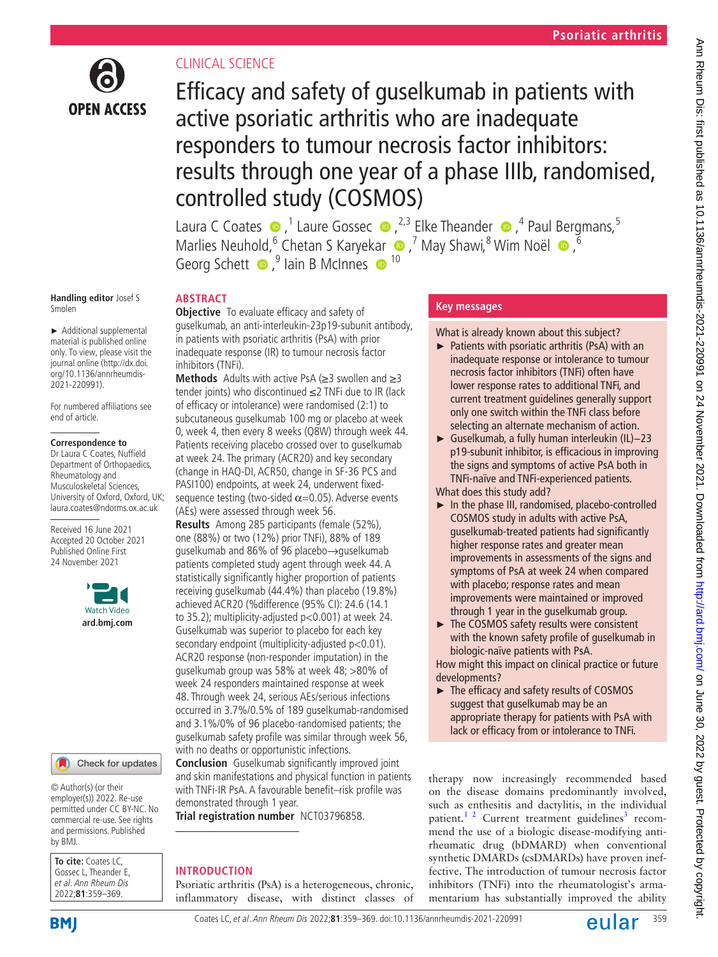

# CLINICAL SCIENCE

Efficacy and safety of guselkumab in patients with active psoriatic arthritis who are inadequate responders to tumour necrosis factor inhibitors: results through one year of a phase IIIb, randomised, controlled study (COSMOS)

LauraC Coates  $\bullet$ ,<sup>1</sup> Laure Gossec  $\bullet$ ,<sup>2,3</sup> Elke Theander  $\bullet$ ,<sup>4</sup> Paul Bergmans,<sup>5</sup> MarliesNeuhold, <sup>6</sup> Chetan S Karyekar (D, <sup>7</sup> May Shawi, <sup>8</sup> Wim Noël (D, <sup>6</sup> Georg Schett  $\bullet$ ,  $\bullet$  lain B McInnes  $\bullet$  <sup>10</sup>

#### **Handling editor** Josef S Smolen

► Additional supplemental material is published online only. To view, please visit the journal online ([http://dx.doi.](http://dx.doi.org/10.1136/annrheumdis-2021-220991) [org/10.1136/annrheumdis-](http://dx.doi.org/10.1136/annrheumdis-2021-220991)[2021-220991\)](http://dx.doi.org/10.1136/annrheumdis-2021-220991).

For numbered affiliations see end of article.

#### **Correspondence to**

Dr Laura C Coates, Nuffield Department of Orthopaedics, Rheumatology and Musculoskeletal Sciences, University of Oxford, Oxford, UK; laura.coates@ndorms.ox.ac.uk

Received 16 June 2021 Accepted 20 October 2021 Published Online First 24 November 2021



#### Check for updates

© Author(s) (or their employer(s)) 2022. Re-use permitted under CC BY-NC. No commercial re-use. See rights and permissions. Published by BMJ.

**To cite:** Coates LC, Gossec L, Theander F et al. Ann Rheum Dis 2022;**81**:359–369.

**ABSTRACT**

**Objective** To evaluate efficacy and safety of guselkumab, an anti-interleukin-23p19-subunit antibody, in patients with psoriatic arthritis (PsA) with prior inadequate response (IR) to tumour necrosis factor inhibitors (TNFi).

**Methods** Adults with active PsA (≥3 swollen and ≥3 tender joints) who discontinued ≤2 TNFi due to IR (lack of efficacy or intolerance) were randomised (2:1) to subcutaneous guselkumab 100 mg or placebo at week 0, week 4, then every 8 weeks (Q8W) through week 44. Patients receiving placebo crossed over to guselkumab at week 24. The primary (ACR20) and key secondary (change in HAQ-DI, ACR50, change in SF-36 PCS and PASI100) endpoints, at week 24, underwent fixedsequence testing (two-sided  $\alpha$ =0.05). Adverse events (AEs) were assessed through week 56.

**Results** Among 285 participants (female (52%), one (88%) or two (12%) prior TNFi), 88% of 189 guselkumab and 86% of 96 placebo→guselkumab patients completed study agent through week 44. A statistically significantly higher proportion of patients receiving guselkumab (44.4%) than placebo (19.8%) achieved ACR20 (%difference (95% CI): 24.6 (14.1 to 35.2); multiplicity-adjusted p<0.001) at week 24. Guselkumab was superior to placebo for each key secondary endpoint (multiplicity-adjusted p<0.01). ACR20 response (non-responder imputation) in the guselkumab group was 58% at week 48; >80% of week 24 responders maintained response at week 48. Through week 24, serious AEs/serious infections occurred in 3.7%/0.5% of 189 guselkumab-randomised and 3.1%/0% of 96 placebo-randomised patients; the guselkumab safety profile was similar through week 56, with no deaths or opportunistic infections.

**Conclusion** Guselkumab significantly improved joint and skin manifestations and physical function in patients with TNFi-IR PsA. A favourable benefit–risk profile was demonstrated through 1 year.

**Trial registration number** <NCT03796858>.

# **INTRODUCTION**

Psoriatic arthritis (PsA) is a heterogeneous, chronic, inflammatory disease, with distinct classes of

# **Key messages**

What is already known about this subject?

- ► Patients with psoriatic arthritis (PsA) with an inadequate response or intolerance to tumour necrosis factor inhibitors (TNFi) often have lower response rates to additional TNFi, and current treatment guidelines generally support only one switch within the TNFi class before selecting an alternate mechanism of action.
- ► Guselkumab, a fully human interleukin (IL)−23 p19-subunit inhibitor, is efficacious in improving the signs and symptoms of active PsA both in TNFi-naïve and TNFi-experienced patients.

What does this study add?

- ► In the phase III, randomised, placebo-controlled COSMOS study in adults with active PsA, guselkumab-treated patients had significantly higher response rates and greater mean improvements in assessments of the signs and symptoms of PsA at week 24 when compared with placebo; response rates and mean improvements were maintained or improved through 1 year in the guselkumab group.
- ► The COSMOS safety results were consistent with the known safety profile of guselkumab in biologic-naïve patients with PsA.

How might this impact on clinical practice or future developments?

► The efficacy and safety results of COSMOS suggest that guselkumab may be an appropriate therapy for patients with PsA with lack or efficacy from or intolerance to TNFi.

therapy now increasingly recommended based on the disease domains predominantly involved, such as enthesitis and dactylitis, in the individual patient.<sup>1</sup> <sup>2</sup> Current treatment guidelines<sup>[3](#page-10-1)</sup> recommend the use of a biologic disease-modifying antirheumatic drug (bDMARD) when conventional synthetic DMARDs (csDMARDs) have proven ineffective. The introduction of tumour necrosis factor inhibitors (TNFi) into the rheumatologist's armamentarium has substantially improved the ability

**BMI** 

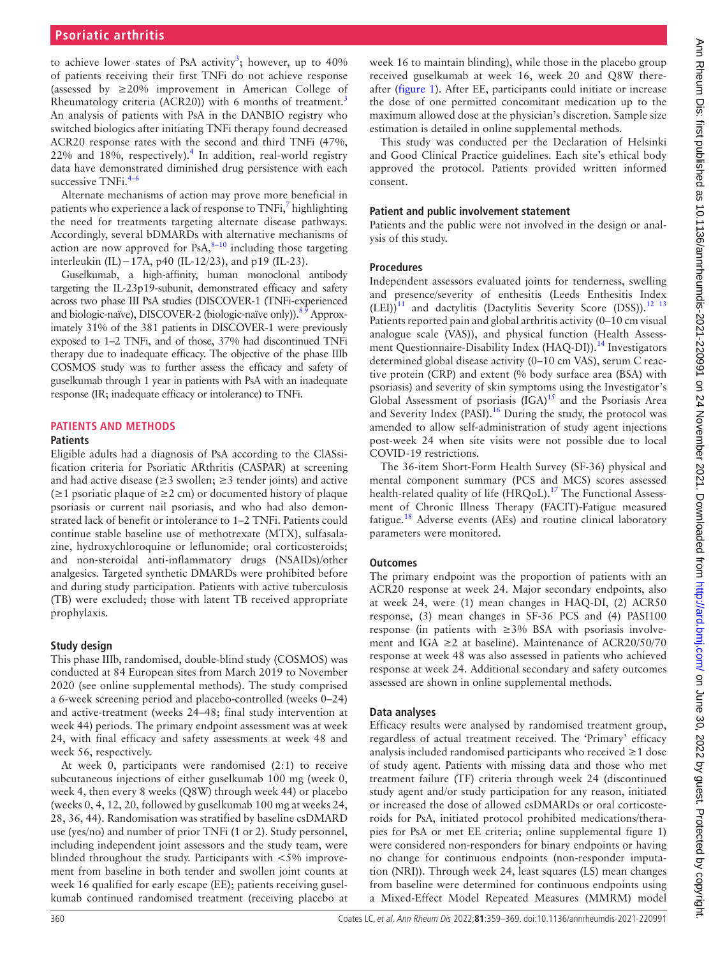to achieve lower states of PsA activity<sup>3</sup>; however, up to  $40\%$ of patients receiving their first TNFi do not achieve response (assessed by  $\geq$  20% improvement in American College of Rheumatology criteria (ACR20)) with 6 months of treatment.<sup>[3](#page-10-1)</sup> An analysis of patients with PsA in the DANBIO registry who switched biologics after initiating TNFi therapy found decreased ACR20 response rates with the second and third TNFi (47%,  $22\%$  and  $18\%$ , respectively).<sup>[4](#page-10-2)</sup> In addition, real-world registry data have demonstrated diminished drug persistence with each successive TNFi.<sup>4–6</sup>

Alternate mechanisms of action may prove more beneficial in patients who experience a lack of response to TNFi,<sup>[7](#page-10-3)</sup> highlighting the need for treatments targeting alternate disease pathways. Accordingly, several bDMARDs with alternative mechanisms of action are now approved for PsA, $8-10$  including those targeting interleukin (IL)−17A, p40 (IL-12/23), and p19 (IL-23).

Guselkumab, a high-affinity, human monoclonal antibody targeting the IL-23p19-subunit, demonstrated efficacy and safety across two phase III PsA studies (DISCOVER-1 (TNFi-experienced and biologic-naïve), DISCOVER-2 (biologic-naïve only)).<sup>89</sup> Approximately 31% of the 381 patients in DISCOVER-1 were previously exposed to 1–2 TNFi, and of those, 37% had discontinued TNFi therapy due to inadequate efficacy. The objective of the phase IIIb COSMOS study was to further assess the efficacy and safety of guselkumab through 1 year in patients with PsA with an inadequate response (IR; inadequate efficacy or intolerance) to TNFi.

# **PATIENTS AND METHODS**

#### **Patients**

Eligible adults had a diagnosis of PsA according to the ClASsification criteria for Psoriatic ARthritis (CASPAR) at screening and had active disease ( $\geq$ 3 swollen;  $\geq$ 3 tender joints) and active  $(\geq 1$  psoriatic plaque of  $\geq 2$  cm) or documented history of plaque psoriasis or current nail psoriasis, and who had also demonstrated lack of benefit or intolerance to 1–2 TNFi. Patients could continue stable baseline use of methotrexate (MTX), sulfasalazine, hydroxychloroquine or leflunomide; oral corticosteroids; and non-steroidal anti-inflammatory drugs (NSAIDs)/other analgesics. Targeted synthetic DMARDs were prohibited before and during study participation. Patients with active tuberculosis (TB) were excluded; those with latent TB received appropriate prophylaxis.

# **Study design**

This phase IIIb, randomised, double-blind study (COSMOS) was conducted at 84 European sites from March 2019 to November 2020 (see [online supplemental methods\)](https://dx.doi.org/10.1136/annrheumdis-2021-220991). The study comprised a 6-week screening period and placebo-controlled (weeks 0–24) and active-treatment (weeks 24–48; final study intervention at week 44) periods. The primary endpoint assessment was at week 24, with final efficacy and safety assessments at week 48 and week 56, respectively.

At week 0, participants were randomised (2:1) to receive subcutaneous injections of either guselkumab 100 mg (week 0, week 4, then every 8 weeks (Q8W) through week 44) or placebo (weeks 0, 4, 12, 20, followed by guselkumab 100 mg at weeks 24, 28, 36, 44). Randomisation was stratified by baseline csDMARD use (yes/no) and number of prior TNFi (1 or 2). Study personnel, including independent joint assessors and the study team, were blinded throughout the study. Participants with  $\langle 5\% \rangle$  improvement from baseline in both tender and swollen joint counts at week 16 qualified for early escape (EE); patients receiving guselkumab continued randomised treatment (receiving placebo at

week 16 to maintain blinding), while those in the placebo group received guselkumab at week 16, week 20 and Q8W thereafter ([figure](#page-2-0) 1). After EE, participants could initiate or increase the dose of one permitted concomitant medication up to the maximum allowed dose at the physician's discretion. Sample size estimation is detailed in online supplemental methods.

This study was conducted per the Declaration of Helsinki and Good Clinical Practice guidelines. Each site's ethical body approved the protocol. Patients provided written informed consent.

#### **Patient and public involvement statement**

Patients and the public were not involved in the design or analysis of this study.

# **Procedures**

Independent assessors evaluated joints for tenderness, swelling and presence/severity of enthesitis (Leeds Enthesitis Index  $(LE)$ <sup>[11](#page-10-5)</sup> and dactylitis (Dactylitis Severity Score (DSS)).<sup>12</sup> <sup>13</sup> Patients reported pain and global arthritis activity (0–10 cm visual analogue scale (VAS)), and physical function (Health Assessment Questionnaire-Disability Index (HAQ-DI)).<sup>14</sup> Investigators determined global disease activity (0–10 cm VAS), serum C reactive protein (CRP) and extent (% body surface area (BSA) with psoriasis) and severity of skin symptoms using the Investigator's Global Assessment of psoriasis (IGA)<sup>15</sup> and the Psoriasis Area and Severity Index (PASI).<sup>[16](#page-10-9)</sup> During the study, the protocol was amended to allow self-administration of study agent injections post-week 24 when site visits were not possible due to local COVID-19 restrictions.

The 36-item Short-Form Health Survey (SF-36) physical and mental component summary (PCS and MCS) scores assessed health-related quality of life (HRQoL).<sup>[17](#page-10-10)</sup> The Functional Assessment of Chronic Illness Therapy (FACIT)-Fatigue measured fatigue.<sup>18</sup> Adverse events (AEs) and routine clinical laboratory parameters were monitored.

# **Outcomes**

The primary endpoint was the proportion of patients with an ACR20 response at week 24. Major secondary endpoints, also at week 24, were (1) mean changes in HAQ-DI, (2) ACR50 response, (3) mean changes in SF-36 PCS and (4) PASI100 response (in patients with ≥3% BSA with psoriasis involvement and IGA  $\geq$  2 at baseline). Maintenance of ACR20/50/70 response at week 48 was also assessed in patients who achieved response at week 24. Additional secondary and safety outcomes assessed are shown in online supplemental methods.

# **Data analyses**

Efficacy results were analysed by randomised treatment group, regardless of actual treatment received. The 'Primary' efficacy analysis included randomised participants who received ≥1 dose of study agent. Patients with missing data and those who met treatment failure (TF) criteria through week 24 (discontinued study agent and/or study participation for any reason, initiated or increased the dose of allowed csDMARDs or oral corticosteroids for PsA, initiated protocol prohibited medications/therapies for PsA or met EE criteria; online supplemental figure 1) were considered non-responders for binary endpoints or having no change for continuous endpoints (non-responder imputation (NRI)). Through week 24, least squares (LS) mean changes from baseline were determined for continuous endpoints using a Mixed-Effect Model Repeated Measures (MMRM) model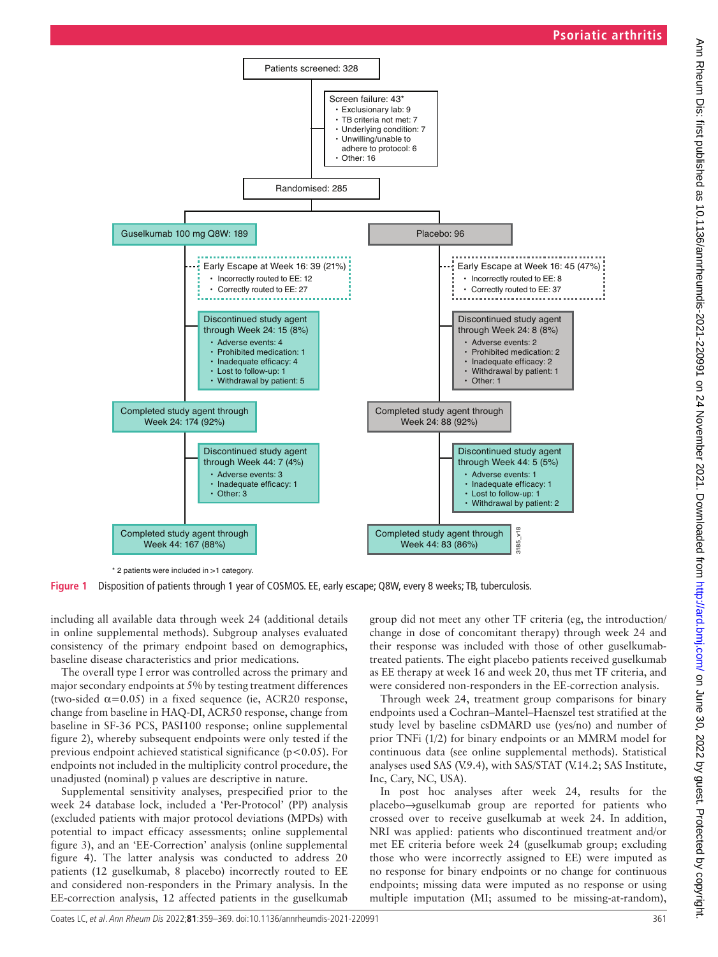

<span id="page-2-0"></span>\* 2 patients were included in >1 category.

**Figure 1** Disposition of patients through 1 year of COSMOS. EE, early escape; Q8W, every 8 weeks; TB, tuberculosis.

including all available data through week 24 (additional details in online supplemental methods). Subgroup analyses evaluated consistency of the primary endpoint based on demographics, baseline disease characteristics and prior medications.

The overall type I error was controlled across the primary and major secondary endpoints at 5% by testing treatment differences (two-sided  $\alpha$ =0.05) in a fixed sequence (ie, ACR20 response, change from baseline in HAQ-DI, ACR50 response, change from baseline in SF-36 PCS, PASI100 response; online supplemental figure 2), whereby subsequent endpoints were only tested if the previous endpoint achieved statistical significance ( $p < 0.05$ ). For endpoints not included in the multiplicity control procedure, the unadjusted (nominal) p values are descriptive in nature.

Supplemental sensitivity analyses, prespecified prior to the week 24 database lock, included a 'Per-Protocol' (PP) analysis (excluded patients with major protocol deviations (MPDs) with potential to impact efficacy assessments; online supplemental figure 3), and an 'EE-Correction' analysis (online supplemental figure 4). The latter analysis was conducted to address 20 patients (12 guselkumab, 8 placebo) incorrectly routed to EE and considered non-responders in the Primary analysis. In the EE-correction analysis, 12 affected patients in the guselkumab

group did not meet any other TF criteria (eg, the introduction/ change in dose of concomitant therapy) through week 24 and their response was included with those of other guselkumabtreated patients. The eight placebo patients received guselkumab as EE therapy at week 16 and week 20, thus met TF criteria, and were considered non-responders in the EE-correction analysis.

Through week 24, treatment group comparisons for binary endpoints used a Cochran–Mantel–Haenszel test stratified at the study level by baseline csDMARD use (yes/no) and number of prior TNFi (1/2) for binary endpoints or an MMRM model for continuous data (see online supplemental methods). Statistical analyses used SAS (V.9.4), with SAS/STAT (V.14.2; SAS Institute, Inc, Cary, NC, USA).

In post hoc analyses after week 24, results for the placebo→guselkumab group are reported for patients who crossed over to receive guselkumab at week 24. In addition, NRI was applied: patients who discontinued treatment and/or met EE criteria before week 24 (guselkumab group; excluding those who were incorrectly assigned to EE) were imputed as no response for binary endpoints or no change for continuous endpoints; missing data were imputed as no response or using Completed study agent through  $\frac{1}{8}$ <br>
Week 44: 83 (86%)  $\frac{1}{8}$ <br>
e: Q8W, every 8 weeks; TB, tuberculosis.<br>
group did not meet any other TF criteria (eg, the introduction/<br>
change in dose of concomitant therapy) throug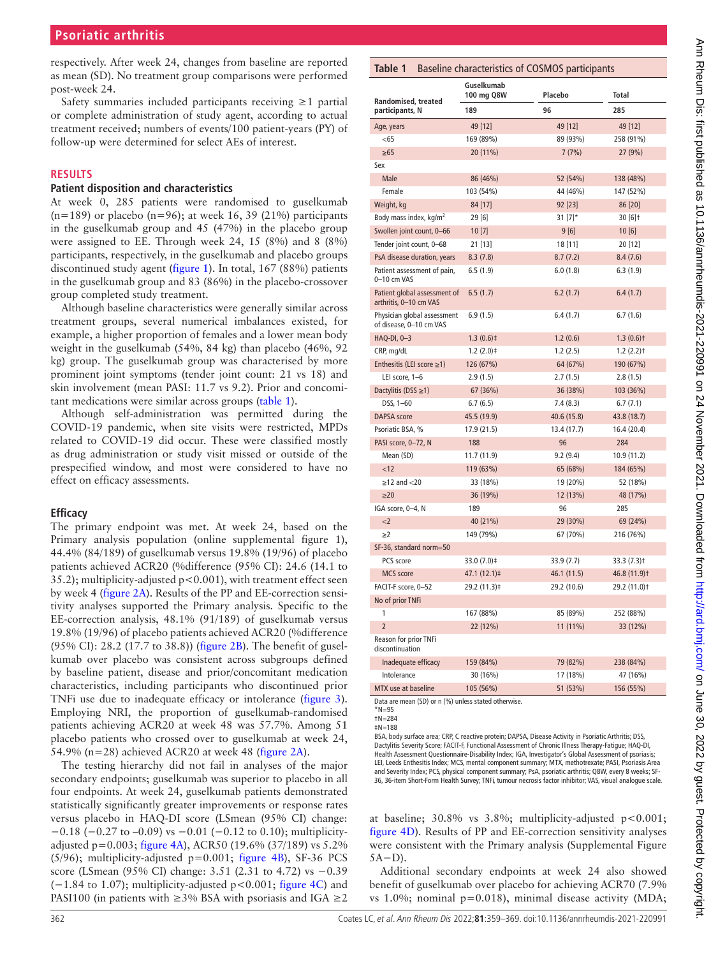respectively. After week 24, changes from baseline are reported as mean (SD). No treatment group comparisons were performed post-week 24.

Safety summaries included participants receiving ≥1 partial or complete administration of study agent, according to actual treatment received; numbers of events/100 patient-years (PY) of follow-up were determined for select AEs of interest.

#### **RESULTS**

#### **Patient disposition and characteristics**

At week 0, 285 patients were randomised to guselkumab  $(n=189)$  or placebo  $(n=96)$ ; at week 16, 39 (21%) participants in the guselkumab group and 45 (47%) in the placebo group were assigned to EE. Through week 24, 15 (8%) and 8 (8%) participants, respectively, in the guselkumab and placebo groups discontinued study agent [\(figure](#page-2-0) 1). In total, 167 (88%) patients in the guselkumab group and 83 (86%) in the placebo-crossover group completed study treatment.

Although baseline characteristics were generally similar across treatment groups, several numerical imbalances existed, for example, a higher proportion of females and a lower mean body weight in the guselkumab (54%, 84 kg) than placebo (46%, 92 kg) group. The guselkumab group was characterised by more prominent joint symptoms (tender joint count: 21 vs 18) and skin involvement (mean PASI: 11.7 vs 9.2). Prior and concomitant medications were similar across groups [\(table](#page-3-0) 1).

Although self-administration was permitted during the COVID-19 pandemic, when site visits were restricted, MPDs related to COVID-19 did occur. These were classified mostly as drug administration or study visit missed or outside of the prespecified window, and most were considered to have no effect on efficacy assessments.

# **Efficacy**

The primary endpoint was met. At week 24, based on the Primary analysis population (online supplemental figure 1), 44.4% (84/189) of guselkumab versus 19.8% (19/96) of placebo patients achieved ACR20 (%difference (95% CI): 24.6 (14.1 to 35.2); multiplicity-adjusted p<0.001), with treatment effect seen by week 4 ([figure](#page-4-0) 2A). Results of the PP and EE-correction sensitivity analyses supported the Primary analysis. Specific to the EE-correction analysis, 48.1% (91/189) of guselkumab versus 19.8% (19/96) of placebo patients achieved ACR20 (%difference (95% CI): 28.2 (17.7 to 38.8)) ([figure](#page-4-0) 2B). The benefit of guselkumab over placebo was consistent across subgroups defined by baseline patient, disease and prior/concomitant medication characteristics, including participants who discontinued prior TNFi use due to inadequate efficacy or intolerance ([figure](#page-5-0) 3). Employing NRI, the proportion of guselkumab-randomised patients achieving ACR20 at week 48 was 57.7%. Among 51 placebo patients who crossed over to guselkumab at week 24, 54.9% (n=28) achieved ACR20 at week 48 ([figure](#page-4-0) 2A).

The testing hierarchy did not fail in analyses of the major secondary endpoints; guselkumab was superior to placebo in all four endpoints. At week 24, guselkumab patients demonstrated statistically significantly greater improvements or response rates versus placebo in HAQ-DI score (LSmean (95% CI) change: −0.18 (−0.27 to –0.09) vs −0.01 (−0.12 to 0.10); multiplicityadjusted p=0.003; [figure](#page-6-0) 4A), ACR50 (19.6% (37/189) vs 5.2%  $(5/96)$ ; multiplicity-adjusted p=0.001; [figure](#page-6-0) 4B), SF-36 PCS score (LSmean (95% CI) change: 3.51 (2.31 to 4.72) vs −0.39 (−1.84 to 1.07); multiplicity-adjusted p<0.001; [figure](#page-6-0) 4C) and PASI100 (in patients with  $\geq$ 3% BSA with psoriasis and IGA  $\geq$ 2

# <span id="page-3-0"></span>**Table 1** Baseline characteristics of COSMOS participants

| Randomised, treated                                    | Guselkumab<br>Placebo<br>100 mg Q8W |             | <b>Total</b>             |  |  |
|--------------------------------------------------------|-------------------------------------|-------------|--------------------------|--|--|
| participants, N                                        | 189                                 | 96          | 285                      |  |  |
| Age, years                                             | 49 [12]                             | 49 [12]     | 49 [12]                  |  |  |
| $<$ 65                                                 | 169 (89%)                           | 89 (93%)    | 258 (91%)                |  |  |
| $\geq 65$                                              | 20 (11%)                            | 7(7%)       | 27 (9%)                  |  |  |
| Sex                                                    |                                     |             |                          |  |  |
| Male                                                   | 86 (46%)                            | 52 (54%)    | 138 (48%)                |  |  |
| Female                                                 | 103 (54%)                           | 44 (46%)    | 147 (52%)                |  |  |
| Weight, kg                                             | 84 [17]                             | 92 [23]     | 86 [20]                  |  |  |
| Body mass index, kg/m <sup>2</sup>                     | 29[6]                               | 31 $[7]$ *  | $30[6]$ †                |  |  |
| Swollen joint count, 0-66                              | 10[7]                               | 9 [6]       | 10[6]                    |  |  |
| Tender joint count, 0-68                               | 21 [13]                             | 18 [11]     | 20 [12]                  |  |  |
| PsA disease duration, years                            | 8.3(7.8)                            | 8.7(7.2)    | 8.4(7.6)                 |  |  |
| Patient assessment of pain,<br>0-10 cm VAS             | 6.5 (1.9)                           | 6.0(1.8)    | 6.3(1.9)                 |  |  |
| Patient global assessment of<br>arthritis, 0-10 cm VAS | 6.5(1.7)                            | 6.2(1.7)    | 6.4(1.7)                 |  |  |
| Physician global assessment<br>of disease, 0-10 cm VAS | 6.9(1.5)                            | 6.4(1.7)    | 6.7(1.6)                 |  |  |
| HAQ-DI, 0-3                                            | $1.3(0.6)$ ‡                        | 1.2(0.6)    | $1.3(0.6)$ t             |  |  |
| CRP, mg/dL                                             | $1.2(2.0)$ ‡                        | 1.2(2.5)    | $1.2(2.2)$ t             |  |  |
| Enthesitis (LEI score $\geq$ 1)                        | 126 (67%)                           | 64 (67%)    | 190 (67%)                |  |  |
| LEI score, 1-6                                         | 2.9(1.5)                            | 2.7(1.5)    | 2.8(1.5)                 |  |  |
| Dactylitis (DSS $\geq$ 1)                              | 67(36%)                             | 36 (38%)    | 103 (36%)                |  |  |
| DSS, 1-60                                              | 6.7(6.5)                            | 7.4(8.3)    | 6.7(7.1)                 |  |  |
| <b>DAPSA</b> score                                     | 45.5 (19.9)                         | 40.6 (15.8) | 43.8 (18.7)              |  |  |
| Psoriatic BSA, %                                       | 17.9 (21.5)                         | 13.4 (17.7) | 16.4 (20.4)              |  |  |
| PASI score, 0-72, N                                    | 188                                 | 96          | 284                      |  |  |
| Mean (SD)                                              | 11.7 (11.9)                         | 9.2(9.4)    | 10.9 (11.2)              |  |  |
| < 12                                                   | 119 (63%)                           | 65 (68%)    | 184 (65%)                |  |  |
| $\ge$ 12 and <20                                       | 33 (18%)                            | 19 (20%)    | 52 (18%)                 |  |  |
| $\geq$ 20                                              | 36 (19%)                            | 12 (13%)    | 48 (17%)                 |  |  |
| IGA score, 0-4, N                                      | 189                                 | 96          | 285                      |  |  |
| <                                                      | 40 (21%)                            | 29 (30%)    | 69 (24%)                 |  |  |
| $\geq$ 2                                               | 149 (79%)                           | 67 (70%)    | 216 (76%)                |  |  |
| SF-36, standard norm=50                                |                                     |             |                          |  |  |
| PCS score                                              | 33.0 (7.0)‡                         | 33.9(7.7)   | 33.3 (7.3) †             |  |  |
| <b>MCS</b> score                                       | 47.1 (12.1)‡                        | 46.1 (11.5) | 46.8 (11.9) <sup>†</sup> |  |  |
| FACIT-F score, 0-52                                    | 29.2 (11.3)‡                        | 29.2 (10.6) | 29.2 (11.0)+             |  |  |
| No of prior TNFi                                       |                                     |             |                          |  |  |
| 1                                                      | 167 (88%)                           | 85 (89%)    | 252 (88%)                |  |  |
| $\overline{2}$                                         | 22 (12%)                            | 11 (11%)    | 33 (12%)                 |  |  |
| <b>Reason for prior TNFi</b><br>discontinuation        |                                     |             |                          |  |  |
| Inadequate efficacy                                    | 159 (84%)                           | 79 (82%)    | 238 (84%)                |  |  |
| Intolerance                                            | 30 (16%)                            | 17 (18%)    | 47 (16%)                 |  |  |
| MTX use at baseline                                    | 105 (56%)                           | 51 (53%)    | 156 (55%)                |  |  |

Data are mean (SD) or n (%) unless stated otherwise.

BSA, body surface area; CRP, C reactive protein; DAPSA, Disease Activity in Psoriatic Arthritis; DSS, Dactylitis Severity Score; FACIT-F, Functional Assessment of Chronic Illness Therapy-Fatigue; HAQ-DI, Health Assessment Questionnaire-Disability Index; IGA, Investigator's Global Assessment of psoriasis; LEI, Leeds Enthesitis Index; MCS, mental component summary; MTX, methotrexate; PASI, Psoriasis Area and Severity Index; PCS, physical component summary; PsA, psoriatic arthritis; Q8W, every 8 weeks; SF-36, 36-item Short-Form Health Survey; TNFi, tumour necrosis factor inhibitor; VAS, visual analogue scale.

at baseline;  $30.8\%$  vs  $3.8\%$ ; multiplicity-adjusted  $p < 0.001$ ; [figure](#page-6-0) 4D). Results of PP and EE-correction sensitivity analyses were consistent with the Primary analysis (Supplemental Figure 5A−D).

Additional secondary endpoints at week 24 also showed benefit of guselkumab over placebo for achieving ACR70 (7.9% vs 1.0%; nominal p=0.018), minimal disease activity (MDA;

 $*N=95$ †N=284

<sup>‡</sup>N=188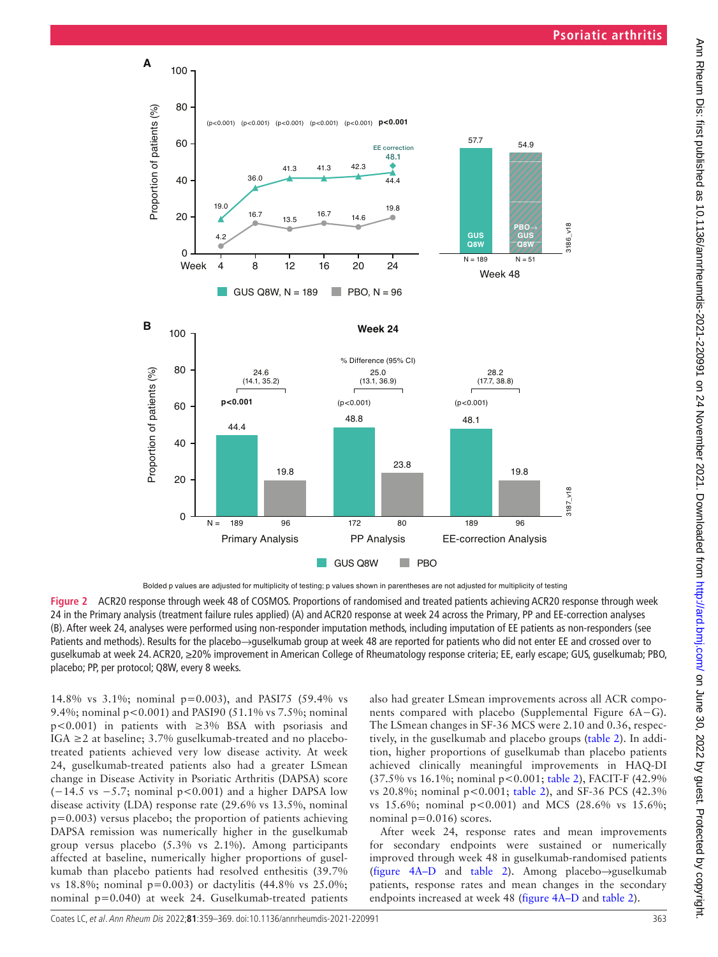

<span id="page-4-0"></span>

**Figure 2** ACR20 response through week 48 of COSMOS. Proportions of randomised and treated patients achieving ACR20 response through week 24 in the Primary analysis (treatment failure rules applied) (A) and ACR20 response at week 24 across the Primary, PP and EE-correction analyses (B). After week 24, analyses were performed using non-responder imputation methods, including imputation of EE patients as non-responders (see Patients and methods). Results for the placebo→guselkumab group at week 48 are reported for patients who did not enter EE and crossed over to guselkumab at week 24. ACR20, ≥20% improvement in American College of Rheumatology response criteria; EE, early escape; GUS, guselkumab; PBO, placebo; PP, per protocol; Q8W, every 8 weeks.

14.8% vs 3.1%; nominal p=0.003), and PASI75 (59.4% vs 9.4%; nominal p<0.001) and PASI90 (51.1% vs 7.5%; nominal p<0.001) in patients with ≥3% BSA with psoriasis and IGA ≥2 at baseline; 3.7% guselkumab-treated and no placebotreated patients achieved very low disease activity. At week 24, guselkumab-treated patients also had a greater LSmean change in Disease Activity in Psoriatic Arthritis (DAPSA) score (−14.5 vs −5.7; nominal p<0.001) and a higher DAPSA low disease activity (LDA) response rate (29.6% vs 13.5%, nominal p=0.003) versus placebo; the proportion of patients achieving DAPSA remission was numerically higher in the guselkumab group versus placebo (5.3% vs 2.1%). Among participants affected at baseline, numerically higher proportions of guselkumab than placebo patients had resolved enthesitis (39.7% vs 18.8%; nominal p=0.003) or dactylitis (44.8% vs 25.0%; nominal p=0.040) at week 24. Guselkumab-treated patients

also had greater LSmean improvements across all ACR components compared with placebo (Supplemental Figure 6A−G). The LSmean changes in SF-36 MCS were 2.10 and 0.36, respectively, in the guselkumab and placebo groups ([table](#page-7-0) 2). In addition, higher proportions of guselkumab than placebo patients achieved clinically meaningful improvements in HAQ-DI (37.5% vs 16.1%; nominal p<0.001; [table](#page-7-0) 2), FACIT-F (42.9% vs 20.8%; nominal p<0.001; [table](#page-7-0) 2), and SF-36 PCS (42.3% vs 15.6%; nominal p<0.001) and MCS (28.6% vs 15.6%; nominal  $p=0.016$ ) scores.

After week 24, response rates and mean improvements for secondary endpoints were sustained or numerically improved through week 48 in guselkumab-randomised patients (figure [4A–D](#page-6-0) and [table](#page-7-0) 2). Among placebo→guselkumab patients, response rates and mean changes in the secondary endpoints increased at week 48 (figure [4A–D](#page-6-0) and [table](#page-7-0) 2).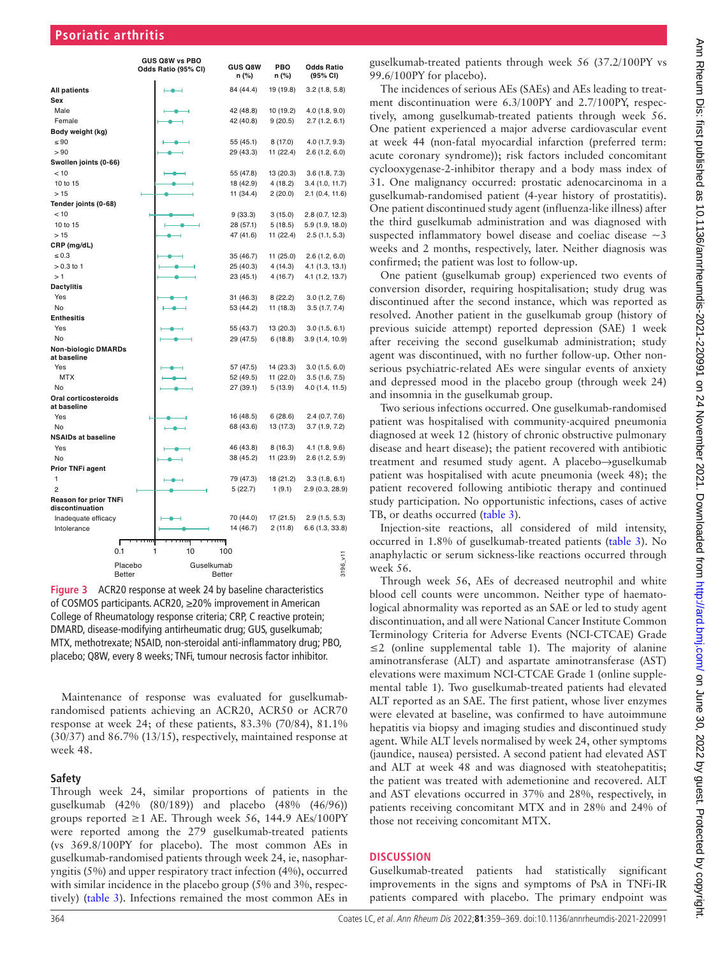|                                                 |               | GUS Q8W vs PBO<br>Odds Ratio (95% CI) | <b>GUS Q8W</b><br>n (%) | PBO<br>n (%) | <b>Odds Ratio</b><br>(95% CI) |
|-------------------------------------------------|---------------|---------------------------------------|-------------------------|--------------|-------------------------------|
| <b>All patients</b>                             |               |                                       | 84 (44.4)               | 19 (19.8)    | 3.2(1.8, 5.8)                 |
| Sex                                             |               |                                       |                         |              |                               |
| Male                                            |               |                                       | 42 (48.8)               | 10 (19.2)    | 4.0(1.8, 9.0)                 |
| Female                                          |               |                                       | 42 (40.8)               | 9(20.5)      | 2.7(1.2, 6.1)                 |
| Body weight (kg)                                |               |                                       |                         |              |                               |
| $\leq 90$                                       |               |                                       | 55 (45.1)               | 8 (17.0)     | 4.0(1.7, 9.3)                 |
| > 90                                            |               |                                       | 29 (43.3)               | 11 (22.4)    | 2.6(1.2, 6.0)                 |
| Swollen joints (0-66)                           |               |                                       |                         |              |                               |
| < 10                                            |               |                                       | 55 (47.8)               | 13 (20.3)    | 3.6(1.8, 7.3)                 |
| 10 to 15                                        |               |                                       | 18 (42.9)               | 4(18.2)      | 3.4(1.0, 11.7)                |
| >15                                             |               |                                       | 11 (34.4)               | 2(20.0)      | $2.1$ (0.4, 11.6)             |
| Tender joints (0-68)                            |               |                                       |                         |              |                               |
| < 10                                            |               |                                       | 9(33.3)                 | 3(15.0)      | 2.8 (0.7, 12.3)               |
| 10 to 15                                        |               |                                       | 28 (57.1)               | 5(18.5)      | 5.9 (1.9, 18.0)               |
| >15                                             |               |                                       | 47 (41.6)               | 11 (22.4)    | 2.5(1.1, 5.3)                 |
| CRP (mg/dL)                                     |               |                                       |                         |              |                               |
| $\leq 0.3$                                      |               |                                       | 35 (46.7)               | 11 (25.0)    | 2.6(1.2, 6.0)                 |
| $> 0.3$ to 1                                    |               |                                       | 25 (40.3)               | 4 (14.3)     | 4.1 (1.3, 13.1)               |
| >1                                              |               |                                       | 23 (45.1)               | 4(16.7)      | 4.1 (1.2, 13.7)               |
| <b>Dactylitis</b>                               |               |                                       |                         |              |                               |
| Yes                                             |               |                                       | 31 (46.3)               | 8(22.2)      | 3.0(1.2, 7.6)                 |
| No                                              |               |                                       | 53 (44.2)               | 11 (18.3)    | 3.5(1.7, 7.4)                 |
| <b>Enthesitis</b>                               |               |                                       |                         |              |                               |
| Yes                                             |               |                                       | 55 (43.7)               | 13 (20.3)    | 3.0(1.5, 6.1)                 |
| No                                              |               |                                       | 29 (47.5)               | 6(18.8)      | 3.9(1.4, 10.9)                |
| <b>Non-biologic DMARDs</b><br>at baseline       |               |                                       |                         |              |                               |
| Yes                                             |               |                                       | 57 (47.5)               | 14 (23.3)    | 3.0(1.5, 6.0)                 |
| <b>MTX</b>                                      |               |                                       | 52 (49.5)               | 11 (22.0)    | 3.5(1.6, 7.5)                 |
| No                                              |               |                                       | 27 (39.1)               | 5(13.9)      | 4.0 (1.4, 11.5)               |
| Oral corticosteroids<br>at baseline             |               |                                       |                         |              |                               |
| Yes                                             |               |                                       | 16 (48.5)               | 6(28.6)      | 2.4(0.7, 7.6)                 |
| No                                              |               |                                       | 68 (43.6)               | 13 (17.3)    | 3.7(1.9, 7.2)                 |
| <b>NSAIDs at baseline</b>                       |               |                                       |                         |              |                               |
| Yes                                             |               |                                       | 46 (43.8)               | 8(16.3)      | 4.1(1.8, 9.6)                 |
| No                                              |               |                                       | 38 (45.2)               | 11 (23.9)    | 2.6(1.2, 5.9)                 |
| Prior TNFi agent                                |               |                                       |                         |              |                               |
| 1                                               |               |                                       | 79 (47.3)               | 18 (21.2)    | 3.3(1.8, 6.1)                 |
| $\overline{2}$                                  |               |                                       | 5(22.7)                 | 1(9.1)       | 2.9 (0.3, 28.9)               |
| <b>Reason for prior TNFi</b><br>discontinuation |               |                                       |                         |              |                               |
| Inadequate efficacy                             |               |                                       | 70 (44.0)               | 17 (21.5)    | 2.9(1.5, 5.3)                 |
| Intolerance                                     |               |                                       | 14 (46.7)               | 2(11.8)      | 6.6(1.3, 33.8)                |
|                                                 | г             | шщ                                    | <del>,,,,,,,</del>      |              |                               |
|                                                 | 0.1           | 1<br>10                               | 100                     |              |                               |
|                                                 | Placebo       | Guselkumab                            |                         |              | $3196$ $M$                    |
|                                                 | <b>Better</b> |                                       | <b>Better</b>           |              |                               |

<span id="page-5-0"></span>**Figure 3** ACR20 response at week 24 by baseline characteristics of COSMOS participants. ACR20, ≥20% improvement in American College of Rheumatology response criteria; CRP, C reactive protein; DMARD, disease-modifying antirheumatic drug; GUS, guselkumab; MTX, methotrexate; NSAID, non-steroidal anti-inflammatory drug; PBO, placebo; Q8W, every 8 weeks; TNFi, tumour necrosis factor inhibitor.

Maintenance of response was evaluated for guselkumabrandomised patients achieving an ACR20, ACR50 or ACR70 response at week 24; of these patients, 83.3% (70/84), 81.1% (30/37) and 86.7% (13/15), respectively, maintained response at week 48.

# **Safety**

Through week 24, similar proportions of patients in the guselkumab (42% (80/189)) and placebo (48% (46/96)) groups reported ≥1 AE. Through week 56, 144.9 AEs/100PY were reported among the 279 guselkumab-treated patients (vs 369.8/100PY for placebo). The most common AEs in guselkumab-randomised patients through week 24, ie, nasopharyngitis (5%) and upper respiratory tract infection (4%), occurred with similar incidence in the placebo group (5% and 3%, respectively) [\(table](#page-8-0) 3). Infections remained the most common AEs in

guselkumab-treated patients through week 56 (37.2/100PY vs 99.6/100PY for placebo).

The incidences of serious AEs (SAEs) and AEs leading to treatment discontinuation were 6.3/100PY and 2.7/100PY, respectively, among guselkumab-treated patients through week 56. One patient experienced a major adverse cardiovascular event at week 44 (non-fatal myocardial infarction (preferred term: acute coronary syndrome)); risk factors included concomitant cyclooxygenase-2-inhibitor therapy and a body mass index of 31. One malignancy occurred: prostatic adenocarcinoma in a guselkumab-randomised patient (4-year history of prostatitis). One patient discontinued study agent (influenza-like illness) after the third guselkumab administration and was diagnosed with suspected inflammatory bowel disease and coeliac disease  $\sim$ 3 weeks and 2 months, respectively, later. Neither diagnosis was confirmed; the patient was lost to follow-up.

One patient (guselkumab group) experienced two events of conversion disorder, requiring hospitalisation; study drug was discontinued after the second instance, which was reported as resolved. Another patient in the guselkumab group (history of previous suicide attempt) reported depression (SAE) 1 week after receiving the second guselkumab administration; study agent was discontinued, with no further follow-up. Other nonserious psychiatric-related AEs were singular events of anxiety and depressed mood in the placebo group (through week 24) and insomnia in the guselkumab group.

Two serious infections occurred. One guselkumab-randomised patient was hospitalised with community-acquired pneumonia diagnosed at week 12 (history of chronic obstructive pulmonary disease and heart disease); the patient recovered with antibiotic treatment and resumed study agent. A placebo→guselkumab patient was hospitalised with acute pneumonia (week 48); the patient recovered following antibiotic therapy and continued study participation. No opportunistic infections, cases of active TB, or deaths occurred ([table](#page-8-0) 3).

Injection-site reactions, all considered of mild intensity, occurred in 1.8% of guselkumab-treated patients [\(table](#page-8-0) 3). No anaphylactic or serum sickness-like reactions occurred through week 56.

Through week 56, AEs of decreased neutrophil and white blood cell counts were uncommon. Neither type of haematological abnormality was reported as an SAE or led to study agent discontinuation, and all were National Cancer Institute Common Terminology Criteria for Adverse Events (NCI-CTCAE) Grade  $\leq$  2 (online supplemental table 1). The majority of alanine aminotransferase (ALT) and aspartate aminotransferase (AST) elevations were maximum NCI-CTCAE Grade 1 (online supplemental table 1). Two guselkumab-treated patients had elevated ALT reported as an SAE. The first patient, whose liver enzymes were elevated at baseline, was confirmed to have autoimmune hepatitis via biopsy and imaging studies and discontinued study agent. While ALT levels normalised by week 24, other symptoms (jaundice, nausea) persisted. A second patient had elevated AST and ALT at week 48 and was diagnosed with steatohepatitis; the patient was treated with ademetionine and recovered. ALT and AST elevations occurred in 37% and 28%, respectively, in patients receiving concomitant MTX and in 28% and 24% of those not receiving concomitant MTX.

# **DISCUSSION**

Guselkumab-treated patients had statistically significant improvements in the signs and symptoms of PsA in TNFi-IR patients compared with placebo. The primary endpoint was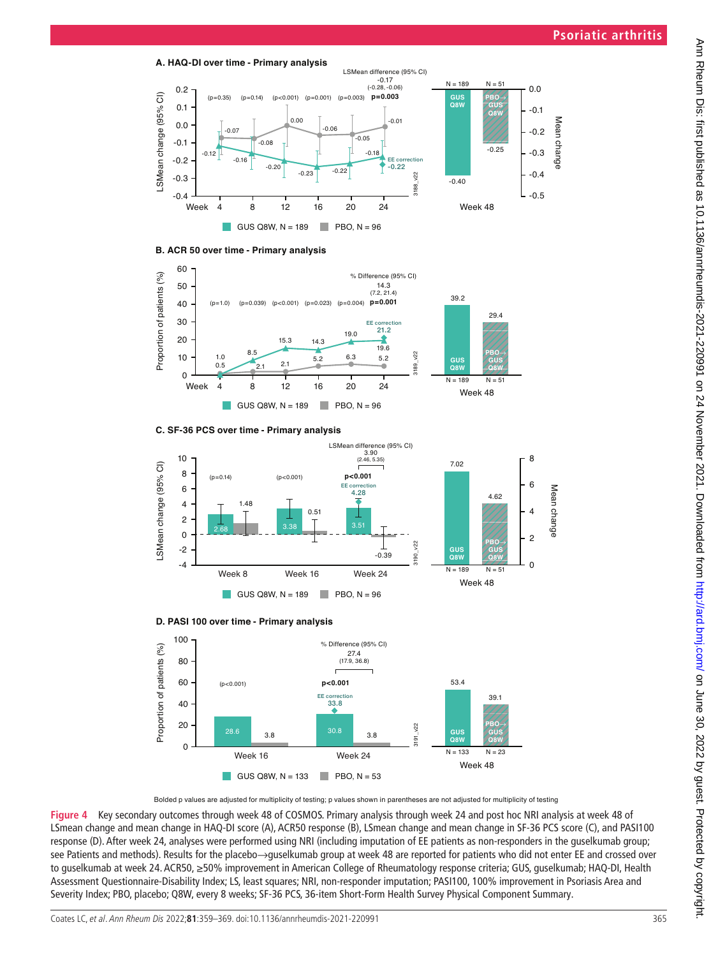







<span id="page-6-0"></span>Bolded p values are adjusted for multiplicity of testing; p values shown in parentheses are not adjusted for multiplicity of testing

**Figure 4** Key secondary outcomes through week 48 of COSMOS. Primary analysis through week 24 and post hoc NRI analysis at week 48 of LSmean change and mean change in HAQ-DI score (A), ACR50 response (B), LSmean change and mean change in SF-36 PCS score (C), and PASI100 response (D). After week 24, analyses were performed using NRI (including imputation of EE patients as non-responders in the guselkumab group; see Patients and methods). Results for the placebo→guselkumab group at week 48 are reported for patients who did not enter EE and crossed over to guselkumab at week 24. ACR50, ≥50% improvement in American College of Rheumatology response criteria; GUS, guselkumab; HAQ-DI, Health Assessment Questionnaire-Disability Index; LS, least squares; NRI, non-responder imputation; PASI100, 100% improvement in Psoriasis Area and Severity Index; PBO, placebo; Q8W, every 8 weeks; SF-36 PCS, 36-item Short-Form Health Survey Physical Component Summary.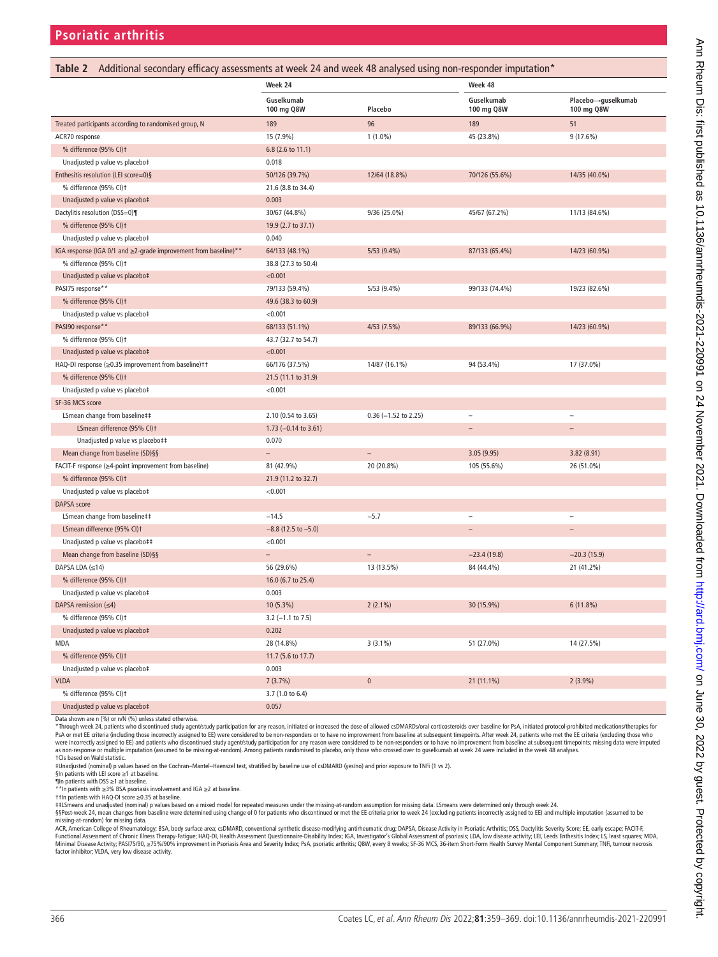<span id="page-7-0"></span>

| Table 2 Additional secondary efficacy assessments at week 24 and week 48 analysed using non-responder imputation* |                          |                          |                          |                                  |  |
|-------------------------------------------------------------------------------------------------------------------|--------------------------|--------------------------|--------------------------|----------------------------------|--|
|                                                                                                                   | Week 24                  |                          | Week 48                  |                                  |  |
|                                                                                                                   | Guselkumab<br>100 mg Q8W | Placebo                  | Guselkumab<br>100 mg Q8W | Placebo→guselkumab<br>100 mg Q8W |  |
| Treated participants according to randomised group, N                                                             | 189                      | 96                       | 189                      | 51                               |  |
| ACR70 response                                                                                                    | 15 (7.9%)                | $1(1.0\%)$               | 45 (23.8%)               | 9 (17.6%)                        |  |
| % difference (95% CI)t                                                                                            | 6.8 (2.6 to 11.1)        |                          |                          |                                  |  |
| Unadjusted p value vs placebo‡                                                                                    | 0.018                    |                          |                          |                                  |  |
| Enthesitis resolution (LEI score=0)§                                                                              | 50/126 (39.7%)           | 12/64 (18.8%)            | 70/126 (55.6%)           | 14/35 (40.0%)                    |  |
| % difference (95% CI)t                                                                                            | 21.6 (8.8 to 34.4)       |                          |                          |                                  |  |
| Unadjusted p value vs placebo‡                                                                                    | 0.003                    |                          |                          |                                  |  |
| Dactylitis resolution (DSS=0)¶                                                                                    | 30/67 (44.8%)            | 9/36 (25.0%)             | 45/67 (67.2%)            | 11/13 (84.6%)                    |  |
| % difference (95% CI)t                                                                                            | 19.9 (2.7 to 37.1)       |                          |                          |                                  |  |
| Unadjusted p value vs placebo‡                                                                                    | 0.040                    |                          |                          |                                  |  |
| IGA response (IGA 0/1 and ≥2-grade improvement from baseline)**                                                   | 64/133 (48.1%)           | 5/53 (9.4%)              | 87/133 (65.4%)           | 14/23 (60.9%)                    |  |
| % difference (95% CI)t                                                                                            | 38.8 (27.3 to 50.4)      |                          |                          |                                  |  |
| Unadjusted p value vs placebo‡                                                                                    | < 0.001                  |                          |                          |                                  |  |
| PASI75 response**                                                                                                 | 79/133 (59.4%)           | 5/53 (9.4%)              | 99/133 (74.4%)           | 19/23 (82.6%)                    |  |
| % difference (95% CI)t                                                                                            | 49.6 (38.3 to 60.9)      |                          |                          |                                  |  |
| Unadjusted p value vs placebo‡                                                                                    | < 0.001                  |                          |                          |                                  |  |
| PASI90 response**                                                                                                 | 68/133 (51.1%)           | 4/53 (7.5%)              | 89/133 (66.9%)           | 14/23 (60.9%)                    |  |
| % difference (95% CI)t                                                                                            | 43.7 (32.7 to 54.7)      |                          |                          |                                  |  |
| Unadjusted p value vs placebo‡                                                                                    | < 0.001                  |                          |                          |                                  |  |
| HAQ-DI response (≥0.35 improvement from baseline)††                                                               | 66/176 (37.5%)           | 14/87 (16.1%)            | 94 (53.4%)               | 17 (37.0%)                       |  |
| % difference (95% CI)t                                                                                            | 21.5 (11.1 to 31.9)      |                          |                          |                                  |  |
| Unadjusted p value vs placebo‡                                                                                    | < 0.001                  |                          |                          |                                  |  |
| SF-36 MCS score                                                                                                   |                          |                          |                          |                                  |  |
| LSmean change from baseline##                                                                                     | 2.10 (0.54 to 3.65)      | $0.36$ (-1.52 to 2.25)   | $\overline{\phantom{a}}$ | $\overline{\phantom{a}}$         |  |
| LSmean difference (95% CI)t                                                                                       | 1.73 $(-0.14$ to 3.61)   |                          | $\equiv$                 | $\equiv$                         |  |
| Unadjusted p value vs placebo##                                                                                   | 0.070                    |                          |                          |                                  |  |
| Mean change from baseline (SD)§§                                                                                  | $\qquad \qquad -$        | $\qquad \qquad -$        | 3.05(9.95)               | 3.82(8.91)                       |  |
| FACIT-F response (≥4-point improvement from baseline)                                                             | 81 (42.9%)               | 20 (20.8%)               | 105 (55.6%)              | 26 (51.0%)                       |  |
| % difference (95% CI)t                                                                                            | 21.9 (11.2 to 32.7)      |                          |                          |                                  |  |
| Unadjusted p value vs placebo‡                                                                                    | < 0.001                  |                          |                          |                                  |  |
| DAPSA score                                                                                                       |                          |                          |                          |                                  |  |
| LSmean change from baseline##                                                                                     | $-14.5$                  | $-5.7$                   | $\overline{a}$           | $\overline{a}$                   |  |
| LSmean difference (95% CI)t                                                                                       | $-8.8$ (12.5 to $-5.0$ ) |                          | $\equiv$                 | $\qquad \qquad -$                |  |
| Unadjusted p value vs placebo‡‡                                                                                   | < 0.001                  |                          |                          |                                  |  |
| Mean change from baseline (SD)§§                                                                                  | $\overline{\phantom{0}}$ | $\overline{\phantom{a}}$ | $-23.4(19.8)$            | $-20.3(15.9)$                    |  |
| DAPSA LDA (≤14)                                                                                                   | 56 (29.6%)               | 13 (13.5%)               | 84 (44.4%)               | 21 (41.2%)                       |  |
| % difference (95% CI)t                                                                                            | 16.0 (6.7 to 25.4)       |                          |                          |                                  |  |
| Unadjusted p value vs placebo‡                                                                                    | 0.003                    |                          |                          |                                  |  |
| DAPSA remission $(\leq 4)$                                                                                        | 10 (5.3%)                | $2(2.1\%)$               | 30 (15.9%)               | 6(11.8%)                         |  |
| % difference (95% CI)t                                                                                            | $3.2$ (-1.1 to 7.5)      |                          |                          |                                  |  |
| Unadjusted p value vs placebo‡                                                                                    | 0.202                    |                          |                          |                                  |  |
| <b>MDA</b>                                                                                                        | 28 (14.8%)               | $3(3.1\%)$               | 51 (27.0%)               | 14 (27.5%)                       |  |
| % difference (95% CI)t                                                                                            | 11.7 (5.6 to 17.7)       |                          |                          |                                  |  |
| Unadjusted p value vs placebo‡                                                                                    | 0.003                    |                          |                          |                                  |  |
| <b>VLDA</b>                                                                                                       | 7(3.7%)                  | $\pmb{0}$                | 21 (11.1%)               | $2(3.9\%)$                       |  |
| % difference (95% CI)t                                                                                            | 3.7 (1.0 to 6.4)         |                          |                          |                                  |  |
| Unadjusted p value vs placebo‡                                                                                    | 0.057                    |                          |                          |                                  |  |

Data shown are n (%) or n/N (%) unless stated otherwise.

\*Through week 24, patients who discontinued study agent/study participation for any reason, initiated or increased the dose of allowed cSDMARDs/oral corticosteroids over baseline for PsA, initiated protocol-prohibited medi PsA or met EE criteria (including those incorrectly assigned to EE) were considered to be non-responders or to have no improvement from baseline at subsequent timepoints. After week 24, patients who met the EE criteria (ex †CIs based on Wald statistic.

‡Unadjusted (nominal) p values based on the Cochran–Mantel–Haenszel test, stratified by baseline use of csDMARD (yes/no) and prior exposure to TNFi (1 vs 2).

§In patients with LEI score ≥1 at baseline.<br>¶In patients with DSS ≥1 at baseline.<br>\*\*In patients with ≥3% BSA psoriasis involvement and IGA ≥2 at baseline.

††In patients with HAQ-DI score ≥0.35 at baseline.<br>‡‡LSmeans and unadjusted (nominal) p values based on a mixed model for repeated measures under the missing-at-random assumption for missing data. LSmeans were determined

§§Post-week 24, mean changes from baseline were determined using change of 0 for patients who discontinued or met the EE criteria prior to week 24 (excluding patients incorrectly assigned to EE) and multiple imputation (as

missing-at-random) for missing data.<br>ACR, American College of Rheumatology; BSA, body surface area; csDMARD, conventional synthetic disease-modifying antinheumatic drug; DAPSA, Disease Activity in Psoriatic Arthritis; DSS, Minimal Disease Activity; PAS175/90, ≥75%/90% improvement in Psoriasis Area and Severity Index; PsA, psoriatic arthritis; Q8W, every 8 weeks; SF-36 MCS, 36-item Short-Form Health Survey Mental Component Summary; TNFi, tumo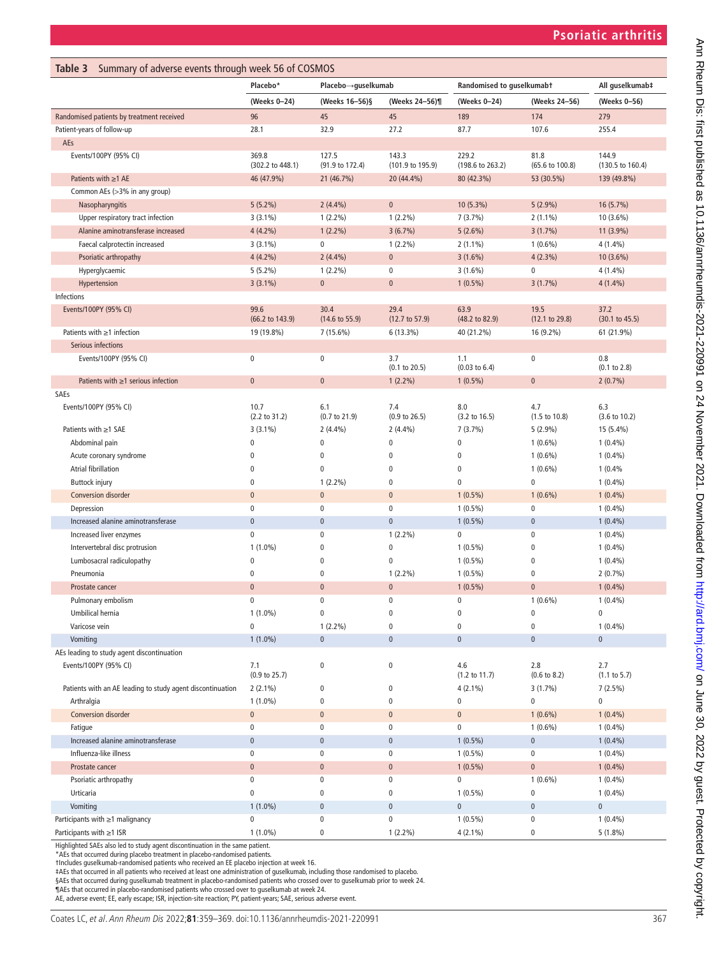<span id="page-8-0"></span>

| Summary of adverse events through week 56 of COSMOS<br>Table 3                |                                  |                                   |                                 |                                   |                                 |                                   |
|-------------------------------------------------------------------------------|----------------------------------|-----------------------------------|---------------------------------|-----------------------------------|---------------------------------|-----------------------------------|
|                                                                               | Placebo*                         | Placebo→guselkumab                |                                 | Randomised to guselkumabt         |                                 | All guselkumab‡                   |
|                                                                               | (Weeks 0-24)                     | (Weeks 16-56)§                    | (Weeks 24-56)¶                  | (Weeks 0-24)                      | (Weeks 24-56)                   | (Weeks 0-56)                      |
| Randomised patients by treatment received                                     | 96                               | 45                                | 45                              | 189                               | 174                             | 279                               |
| Patient-years of follow-up                                                    | 28.1                             | 32.9                              | 27.2                            | 87.7                              | 107.6                           | 255.4                             |
| AEs                                                                           |                                  |                                   |                                 |                                   |                                 |                                   |
| Events/100PY (95% CI)                                                         | 369.8<br>(302.2 to 448.1)        | 127.5<br>(91.9 to 172.4)          | 143.3<br>(101.9 to 195.9)       | 229.2<br>(198.6 to 263.2)         | 81.8<br>(65.6 to 100.8)         | 144.9<br>(130.5 to 160.4)         |
| Patients with $\geq$ 1 AE                                                     | 46 (47.9%)                       | 21 (46.7%)                        | 20 (44.4%)                      | 80 (42.3%)                        | 53 (30.5%)                      | 139 (49.8%)                       |
| Common AEs (>3% in any group)                                                 |                                  |                                   |                                 |                                   |                                 |                                   |
| Nasopharyngitis                                                               | $5(5.2\%)$                       | 2(4.4%)                           | $\pmb{0}$                       | 10 (5.3%)                         | $5(2.9\%)$                      | 16 (5.7%)                         |
| Upper respiratory tract infection                                             | $3(3.1\%)$                       | $1(2.2\%)$                        | $1(2.2\%)$                      | 7(3.7%)                           | $2(1.1\%)$                      | 10 (3.6%)                         |
| Alanine aminotransferase increased                                            | $4(4.2\%)$                       | $1(2.2\%)$                        | 3(6.7%)                         | 5(2.6%)                           | 3(1.7%)                         | $11(3.9\%)$                       |
| Faecal calprotectin increased                                                 | $3(3.1\%)$                       | $\bf{0}$                          | $1(2.2\%)$                      | $2(1.1\%)$                        | $1(0.6\%)$                      | 4 (1.4%)                          |
| Psoriatic arthropathy                                                         | $4(4.2\%)$                       | $2(4.4\%)$                        | $\pmb{0}$                       | $3(1.6\%)$                        | $4(2.3\%)$                      | $10(3.6\%)$                       |
| Hyperglycaemic                                                                | $5(5.2\%)$                       | $1(2.2\%)$                        | 0                               | $3(1.6\%)$                        | 0                               | $4(1.4\%)$                        |
| Hypertension                                                                  | $3(3.1\%)$                       | $\mathbf{0}$                      | $\pmb{0}$                       | $1(0.5\%)$                        | 3(1.7%)                         | $4(1.4\%)$                        |
| Infections                                                                    |                                  |                                   |                                 |                                   |                                 |                                   |
| Events/100PY (95% CI)                                                         | 99.6<br>(66.2 to 143.9)          | 30.4<br>$(14.6 \text{ to } 55.9)$ | 29.4<br>(12.7 to 57.9)          | 63.9<br>$(48.2 \text{ to } 82.9)$ | 19.5<br>(12.1 to 29.8)          | 37.2<br>$(30.1 \text{ to } 45.5)$ |
| Patients with $\geq$ 1 infection                                              | 19 (19.8%)                       | $7(15.6\%)$                       | $6(13.3\%)$                     | 40 (21.2%)                        | 16 (9.2%)                       | 61 (21.9%)                        |
| Serious infections                                                            |                                  |                                   |                                 |                                   |                                 |                                   |
| Events/100PY (95% CI)                                                         | $\pmb{0}$                        | $\bf{0}$                          | 3.7<br>(0.1 to 20.5)            | 1.1<br>$(0.03 \text{ to } 6.4)$   | 0                               | 0.8<br>(0.1 to 2.8)               |
| Patients with $\geq$ 1 serious infection                                      | $\pmb{0}$                        | $\pmb{0}$                         | $1(2.2\%)$                      | $1(0.5\%)$                        | $\mathbf{0}$                    | $2(0.7\%)$                        |
| SAEs                                                                          |                                  |                                   |                                 |                                   |                                 |                                   |
| Events/100PY (95% CI)                                                         | 10.7<br>$(2.2 \text{ to } 31.2)$ | 6.1<br>$(0.7 \text{ to } 21.9)$   | 7.4<br>$(0.9 \text{ to } 26.5)$ | 8.0<br>$(3.2 \text{ to } 16.5)$   | 4.7<br>$(1.5 \text{ to } 10.8)$ | 6.3<br>$(3.6 \text{ to } 10.2)$   |
| Patients with ≥1 SAE                                                          | $3(3.1\%)$                       | $2(4.4\%)$                        | $2(4.4\%)$                      | 7(3.7%)                           | $5(2.9\%)$                      | 15 (5.4%)                         |
| Abdominal pain                                                                | $\pmb{0}$                        | $\pmb{0}$                         | $\pmb{0}$                       | $\pmb{0}$                         | $1(0.6\%)$                      | $1(0.4\%)$                        |
| Acute coronary syndrome                                                       | 0                                | $\pmb{0}$                         | 0                               | $\pmb{0}$                         | $1(0.6\%)$                      | $1(0.4\%)$                        |
| Atrial fibrillation                                                           | 0                                | $\pmb{0}$                         | $\pmb{0}$                       | 0                                 | $1(0.6\%)$                      | 1(0.4%                            |
| <b>Buttock injury</b>                                                         | $\pmb{0}$                        | $1(2.2\%)$                        | 0                               | 0                                 | 0                               | $1(0.4\%)$                        |
| Conversion disorder                                                           | $\pmb{0}$                        | $\mathbf{0}$                      | $\pmb{0}$                       | $1(0.5\%)$                        | $1(0.6\%)$                      | $1(0.4\%)$                        |
| Depression                                                                    | $\pmb{0}$                        | $\mathbf 0$                       | $\pmb{0}$                       | $1(0.5\%)$                        | 0                               | $1(0.4\%)$                        |
| Increased alanine aminotransferase                                            | $\pmb{0}$                        | $\pmb{0}$                         | $\pmb{0}$                       | $1(0.5\%)$                        | $\mathbf 0$                     | $1(0.4\%)$                        |
| Increased liver enzymes                                                       | $\mathbf 0$                      | $\mathbf 0$                       | $1(2.2\%)$                      | 0                                 | 0                               | $1(0.4\%)$                        |
| Intervertebral disc protrusion                                                | $1(1.0\%)$                       | 0                                 | $\pmb{0}$                       | $1(0.5\%)$                        | 0                               | $1(0.4\%)$                        |
| Lumbosacral radiculopathy                                                     | $\pmb{0}$                        | 0                                 | 0                               | $1(0.5\%)$                        | $\bf{0}$                        | $1(0.4\%)$                        |
| Pneumonia                                                                     | $\pmb{0}$                        | $\pmb{0}$                         | $1(2.2\%)$                      | $1(0.5\%)$                        | 0                               | $2(0.7\%)$                        |
| Prostate cancer                                                               | $\pmb{0}$                        | $\pmb{0}$                         | $\pmb{0}$                       | $1(0.5\%)$                        | $\pmb{0}$                       | $1(0.4\%)$                        |
| Pulmonary embolism                                                            | 0                                | $\mathbf{0}$                      | $\mathbf 0$                     | 0                                 | $1(0.6\%)$                      | $1(0.4\%)$                        |
| Umbilical hernia                                                              | $1(1.0\%)$                       | $\pmb{0}$                         | $\pmb{0}$                       | 0                                 | $\bf{0}$                        | $\pmb{0}$                         |
| Varicose vein                                                                 | $\mathbf 0$                      | $1(2.2\%)$                        | 0                               | 0                                 | 0                               | $1(0.4\%)$                        |
| Vomiting                                                                      | $1(1.0\%)$                       | $\pmb{0}$                         | $\mathbf{0}$                    | $\mathbf 0$                       | $\mathbf 0$                     | $\pmb{0}$                         |
| AEs leading to study agent discontinuation                                    |                                  |                                   |                                 |                                   |                                 |                                   |
| Events/100PY (95% CI)                                                         | 7.1<br>$(0.9 \text{ to } 25.7)$  | 0                                 | $\pmb{0}$                       | 4.6<br>$(1.2 \text{ to } 11.7)$   | 2.8<br>$(0.6 \text{ to } 8.2)$  | 2.7<br>(1.1 to 5.7)               |
| Patients with an AE leading to study agent discontinuation                    | $2(2.1\%)$                       | 0                                 | 0                               | $4(2.1\%)$                        | $3(1.7\%)$                      | $7(2.5\%)$                        |
| Arthralgia                                                                    | $1(1.0\%)$                       | $\pmb{0}$                         | $\pmb{0}$                       | 0                                 | $\mathbf 0$                     | $\mathbf 0$                       |
| Conversion disorder                                                           | $\pmb{0}$                        | $\pmb{0}$                         | $\bf{0}$                        | $\mathbf 0$                       | $1(0.6\%)$                      | $1(0.4\%)$                        |
| Fatigue                                                                       | $\pmb{0}$                        | 0                                 | $\mathbf 0$                     | 0                                 | $1(0.6\%)$                      | $1(0.4\%)$                        |
| Increased alanine aminotransferase                                            | $\pmb{0}$                        | $\pmb{0}$                         | $\pmb{0}$                       | $1(0.5\%)$                        | $\pmb{0}$                       | $1(0.4\%)$                        |
| Influenza-like illness                                                        | $\pmb{0}$                        | $\pmb{0}$                         | $\pmb{0}$                       | $1(0.5\%)$                        | $\pmb{0}$                       | $1(0.4\%)$                        |
| Prostate cancer                                                               | $\pmb{0}$                        | $\pmb{0}$                         | $\pmb{0}$                       | $1(0.5\%)$                        | $\pmb{0}$                       | $1(0.4\%)$                        |
| Psoriatic arthropathy                                                         | $\pmb{0}$                        | $\pmb{0}$                         | $\pmb{0}$                       | 0                                 | $1(0.6\%)$                      | $1(0.4\%)$                        |
| Urticaria                                                                     | $\pmb{0}$                        | 0                                 | 0                               | $1(0.5\%)$                        | 0                               | $1(0.4\%)$                        |
| Vomiting                                                                      | $1(1.0\%)$                       | $\pmb{0}$                         | $\pmb{0}$                       | $\pmb{0}$                         | $\pmb{0}$                       | $\pmb{0}$                         |
| Participants with ≥1 malignancy                                               | 0                                | $\pmb{0}$                         | $\pmb{0}$                       | $1(0.5\%)$                        | $\pmb{0}$                       | $1(0.4\%)$                        |
| Participants with $\geq$ 1 ISR                                                | $1(1.0\%)$                       | 0                                 | $1(2.2\%)$                      | $4(2.1\%)$                        | 0                               | $5(1.8\%)$                        |
| Highlighted SAEs also led to study agent discontinuation in the same patient. |                                  |                                   |                                 |                                   |                                 |                                   |

\*AEs that occurred during placebo treatment in placebo-randomised patients.

†Includes guselkumab-randomised patients who received an EE placebo injection at week 16.<br>‡AEs that occurred in all patients who received at least one administration of guselkumab, including those randomised to placebo.<br>§A

¶AEs that occurred in placebo-randomised patients who crossed over to guselkumab at week 24.

AE, adverse event; EE, early escape; ISR, injection-site reaction; PY, patient-years; SAE, serious adverse event.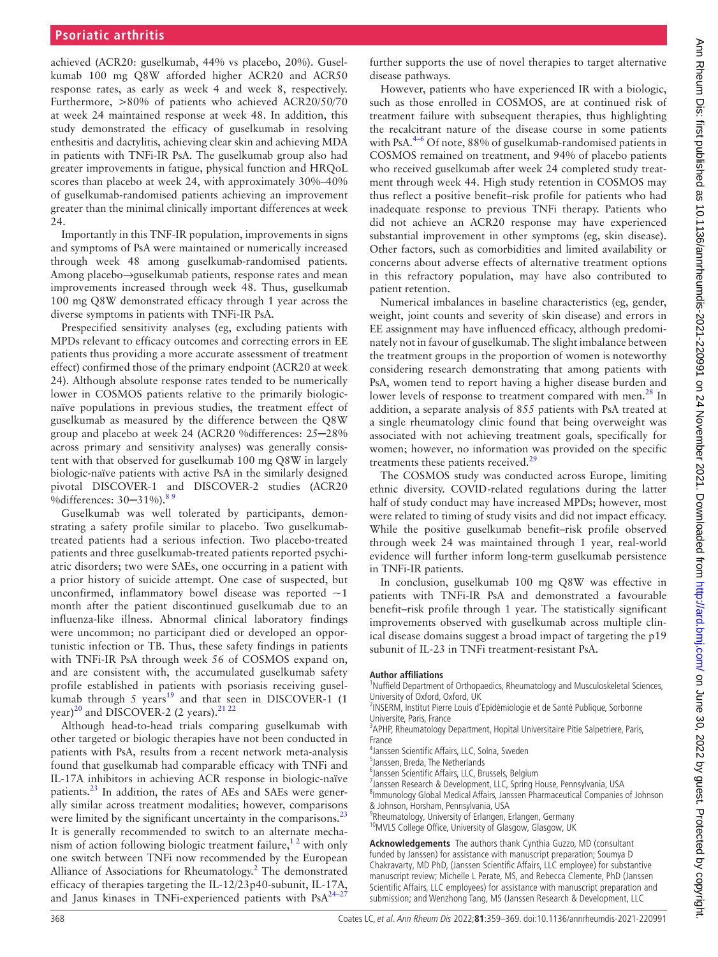achieved (ACR20: guselkumab, 44% vs placebo, 20%). Guselkumab 100 mg Q8W afforded higher ACR20 and ACR50 response rates, as early as week 4 and week 8, respectively. Furthermore, >80% of patients who achieved ACR20/50/70 at week 24 maintained response at week 48. In addition, this study demonstrated the efficacy of guselkumab in resolving enthesitis and dactylitis, achieving clear skin and achieving MDA in patients with TNFi-IR PsA. The guselkumab group also had greater improvements in fatigue, physical function and HRQoL scores than placebo at week 24, with approximately 30%–40% of guselkumab-randomised patients achieving an improvement greater than the minimal clinically important differences at week 24.

Importantly in this TNF-IR population, improvements in signs and symptoms of PsA were maintained or numerically increased through week 48 among guselkumab-randomised patients. Among placebo→guselkumab patients, response rates and mean improvements increased through week 48. Thus, guselkumab 100 mg Q8W demonstrated efficacy through 1 year across the diverse symptoms in patients with TNFi-IR PsA.

Prespecified sensitivity analyses (eg, excluding patients with MPDs relevant to efficacy outcomes and correcting errors in EE patients thus providing a more accurate assessment of treatment effect) confirmed those of the primary endpoint (ACR20 at week 24). Although absolute response rates tended to be numerically lower in COSMOS patients relative to the primarily biologicnaïve populations in previous studies, the treatment effect of guselkumab as measured by the difference between the Q8W group and placebo at week 24 (ACR20 %differences: 25─28% across primary and sensitivity analyses) was generally consistent with that observed for guselkumab 100 mg Q8W in largely biologic-naïve patients with active PsA in the similarly designed pivotal DISCOVER-1 and DISCOVER-2 studies (ACR20 %differences: 30–31%).<sup>[8 9](#page-10-4)</sup>

Guselkumab was well tolerated by participants, demonstrating a safety profile similar to placebo. Two guselkumabtreated patients had a serious infection. Two placebo-treated patients and three guselkumab-treated patients reported psychiatric disorders; two were SAEs, one occurring in a patient with a prior history of suicide attempt. One case of suspected, but unconfirmed, inflammatory bowel disease was reported  $\sim$ 1 month after the patient discontinued guselkumab due to an influenza-like illness. Abnormal clinical laboratory findings were uncommon; no participant died or developed an opportunistic infection or TB. Thus, these safety findings in patients with TNFi-IR PsA through week 56 of COSMOS expand on, and are consistent with, the accumulated guselkumab safety profile established in patients with psoriasis receiving guselkumab through 5 years $19$  and that seen in DISCOVER-1 (1 year)<sup>[20](#page-10-13)</sup> and DISCOVER-2 (2 years).<sup>[21 22](#page-10-14)</sup>

Although head-to-head trials comparing guselkumab with other targeted or biologic therapies have not been conducted in patients with PsA, results from a recent network meta-analysis found that guselkumab had comparable efficacy with TNFi and IL-17A inhibitors in achieving ACR response in biologic-naïve patients.<sup>[23](#page-10-15)</sup> In addition, the rates of AEs and SAEs were generally similar across treatment modalities; however, comparisons were limited by the significant uncertainty in the comparisons.<sup>[23](#page-10-15)</sup> It is generally recommended to switch to an alternate mechanism of action following biologic treatment failure,<sup>12</sup> with only one switch between TNFi now recommended by the European Alliance of Associations for Rheumatology.<sup>[2](#page-10-16)</sup> The demonstrated efficacy of therapies targeting the IL-12/23p40-subunit, IL-17A, and Janus kinases in TNFi-experienced patients with  $PsA^{24-27}$ 

further supports the use of novel therapies to target alternative disease pathways.

However, patients who have experienced IR with a biologic, such as those enrolled in COSMOS, are at continued risk of treatment failure with subsequent therapies, thus highlighting the recalcitrant nature of the disease course in some patients with PsA.<sup>[4–6](#page-10-2)</sup> Of note, 88% of guselkumab-randomised patients in COSMOS remained on treatment, and 94% of placebo patients who received guselkumab after week 24 completed study treatment through week 44. High study retention in COSMOS may thus reflect a positive benefit–risk profile for patients who had inadequate response to previous TNFi therapy. Patients who did not achieve an ACR20 response may have experienced substantial improvement in other symptoms (eg, skin disease). Other factors, such as comorbidities and limited availability or concerns about adverse effects of alternative treatment options in this refractory population, may have also contributed to patient retention.

Numerical imbalances in baseline characteristics (eg, gender, weight, joint counts and severity of skin disease) and errors in EE assignment may have influenced efficacy, although predominately not in favour of guselkumab. The slight imbalance between the treatment groups in the proportion of women is noteworthy considering research demonstrating that among patients with PsA, women tend to report having a higher disease burden and lower levels of response to treatment compared with men.<sup>[28](#page-10-18)</sup> In addition, a separate analysis of 855 patients with PsA treated at a single rheumatology clinic found that being overweight was associated with not achieving treatment goals, specifically for women; however, no information was provided on the specific treatments these patients received.<sup>[29](#page-10-19)</sup>

The COSMOS study was conducted across Europe, limiting ethnic diversity. COVID-related regulations during the latter half of study conduct may have increased MPDs; however, most were related to timing of study visits and did not impact efficacy. While the positive guselkumab benefit–risk profile observed through week 24 was maintained through 1 year, real-world evidence will further inform long-term guselkumab persistence in TNFi-IR patients.

In conclusion, guselkumab 100 mg Q8W was effective in patients with TNFi-IR PsA and demonstrated a favourable benefit–risk profile through 1 year. The statistically significant improvements observed with guselkumab across multiple clinical disease domains suggest a broad impact of targeting the p19 subunit of IL-23 in TNFi treatment-resistant PsA.

#### **Author affiliations**

<sup>1</sup>Nuffield Department of Orthopaedics, Rheumatology and Musculoskeletal Sciences, University of Oxford, Oxford, UK

<sup>2</sup>INSERM, Institut Pierre Louis d'Epidémiologie et de Santé Publique, Sorbonne

Universite, Paris, France <sup>3</sup>APHP, Rheumatology Department, Hopital Universitaire Pitie Salpetriere, Paris, France

4 Janssen Scientific Affairs, LLC, Solna, Sweden

5 Janssen, Breda, The Netherlands

6 Janssen Scientific Affairs, LLC, Brussels, Belgium

7 Janssen Research & Development, LLC, Spring House, Pennsylvania, USA

<sup>8</sup>Immunology Global Medical Affairs, Janssen Pharmaceutical Companies of Johnson & Johnson, Horsham, Pennsylvania, USA

<sup>9</sup>Rheumatology, University of Erlangen, Erlangen, Germany <sup>10</sup>MVLS College Office, University of Glasgow, Glasgow, UK

**Acknowledgements** The authors thank Cynthia Guzzo, MD (consultant funded by Janssen) for assistance with manuscript preparation; Soumya D Chakravarty, MD PhD, (Janssen Scientific Affairs, LLC employee) for substantive manuscript review; Michelle L Perate, MS, and Rebecca Clemente, PhD (Janssen Scientific Affairs, LLC employees) for assistance with manuscript preparation and submission; and Wenzhong Tang, MS (Janssen Research & Development, LLC